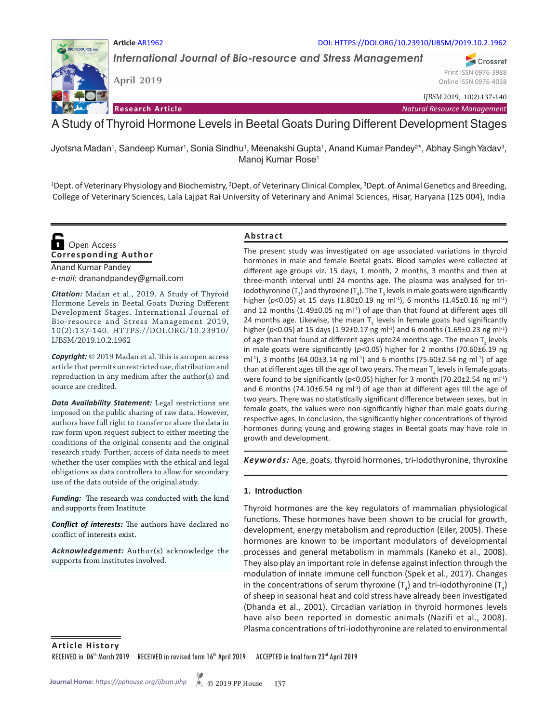#### **Article** AR1962 DOI: HTTPS://DOI.ORG/10.23910/IJBSM/2019.10.2.1962

*International Journal of Bio-resource and Stress Management*

**April 2019**

*IJBSM* 2019, 10(2):137-140

**Research Article** *Natural Resource Management*

A Study of Thyroid Hormone Levels in Beetal Goats During Different Development Stages

Jyotsna Madan', Sandeep Kumar', Sonia Sindhu', Meenakshi Gupta', Anand Kumar Pandey<sup>2\*</sup>, Abhay Singh Yadav<sup>3</sup>, Manoj Kumar Rose<sup>1</sup>

<sup>1</sup>Dept. of Veterinary Physiology and Biochemistry, <sup>2</sup>Dept. of Veterinary Clinical Complex, <sup>3</sup>Dept. of Animal Genetics and Breeding, College of Veterinary Sciences, Lala Lajpat Rai University of Veterinary and Animal Sciences, Hisar, Haryana (125 004), India

**Corresponding Author Open Access** 

Anand Kumar Pandey *e-mail*: dranandpandey@gmail.com

*Citation:* Madan et al., 2019. A Study of Thyroid Hormone Levels in Beetal Goats During Different Development Stages. International Journal of Bio-resource and Stress Management 2019, 10(2):137-140. HTTPS://DOI.ORG/10.23910/ IJBSM/2019.10.2.1962

*Copyright:* © 2019 Madan et al. This is an open access article that permits unrestricted use, distribution and reproduction in any medium after the author(s) and source are credited.

*Data Availability Statement:* Legal restrictions are imposed on the public sharing of raw data. However, authors have full right to transfer or share the data in raw form upon request subject to either meeting the conditions of the original consents and the original research study. Further, access of data needs to meet whether the user complies with the ethical and legal obligations as data controllers to allow for secondary use of the data outside of the original study.

*Funding:* The research was conducted with the kind and supports from Institute

*Conflict of interests:* The authors have declared no conflict of interests exist.

*Acknowledgement:* Author(s) acknowledge the supports from institutes involved.

### **Abstract**

The present study was investigated on age associated variations in thyroid hormones in male and female Beetal goats. Blood samples were collected at different age groups viz. 15 days, 1 month, 2 months, 3 months and then at three-month interval until 24 months age. The plasma was analysed for triiodothyronine (T<sub>3</sub>) and thyroxine (T<sub>4</sub>). The T<sub>3</sub> levels in male goats were significantly higher (p<0.05) at 15 days (1.80±0.19 ng ml<sup>-1</sup>), 6 months (1.45±0.16 ng ml<sup>-1</sup>) and 12 months (1.49 $\pm$ 0.05 ng m $\vert$ <sup>1</sup>) of age than that found at different ages till 24 months age. Likewise, the mean  $T_{3}$  levels in female goats had significantly higher ( $p$ <0.05) at 15 days (1.92±0.17 ng ml<sup>-1</sup>) and 6 months (1.69±0.23 ng ml<sup>-1</sup>) of age than that found at different ages upto24 months age. The mean  $\mathsf{T}_4$  levels in male goats were significantly (*p*<0.05) higher for 2 months (70.60±6.19 ng ml<sup>-1</sup>), 3 months (64.00 $\pm$ 3.14 ng ml<sup>-1</sup>) and 6 months (75.60 $\pm$ 2.54 ng ml<sup>-1</sup>) of age than at different ages till the age of two years. The mean  ${\mathsf T}_4$  levels in female goats were found to be significantly ( $p$ <0.05) higher for 3 month (70.20±2.54 ng ml<sup>-1</sup>) and 6 months (74.10 $\pm$ 6.54 ng m $\vert$ <sup>-1</sup>) of age than at different ages till the age of two years. There was no statistically significant difference between sexes, but in female goats, the values were non-significantly higher than male goats during respective ages. In conclusion, the significantly higher concentrations of thyroid hormones during young and growing stages in Beetal goats may have role in growth and development.

*Keywords:* Age, goats, thyroid hormones, tri-Iodothyronine, thyroxine

### **1. Introduction**

Thyroid hormones are the key regulators of mammalian physiological functions. These hormones have been shown to be crucial for growth, development, energy metabolism and reproduction (Eiler, 2005). These hormones are known to be important modulators of developmental processes and general metabolism in mammals (Kaneko et al., 2008). They also play an important role in defense against infection through the modulation of innate immune cell function (Spek et al., 2017). Changes in the concentrations of serum thyroxine  $(T_4)$  and tri-iodothyronine  $(T_3)$ of sheep in seasonal heat and cold stress have already been investigated (Dhanda et al., 2001). Circadian variation in thyroid hormones levels have also been reported in domestic animals (Nazifi et al., 2008). Plasma concentrations of tri-iodothyronine are related to environmental

**Article History** RECEIVED in 06<sup>th</sup> March 2019 RECEIVED in revised form 16<sup>th</sup> April 2019 ACCEPTED in final form 23<sup>rd</sup> April 2019



Crossref Print ISSN 0976-3988 Online ISSN 0976-4038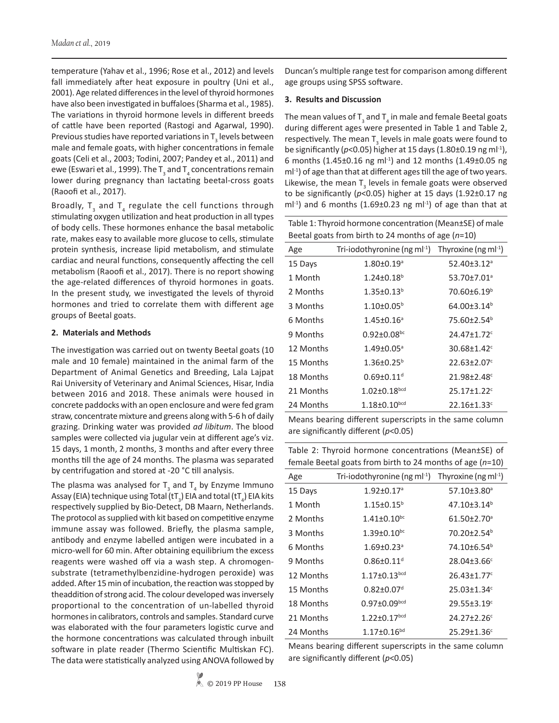temperature (Yahav et al., 1996; Rose et al., 2012) and levels fall immediately after heat exposure in poultry (Uni et al., 2001). Age related differences in the level of thyroid hormones have also been investigated in buffaloes (Sharma et al., 1985). The variations in thyroid hormone levels in different breeds of cattle have been reported (Rastogi and Agarwal, 1990). Previous studies have reported variations in  $\mathsf{T}_\mathsf{3}$  levels between male and female goats, with higher concentrations in female goats (Celi et al., 2003; Todini, 2007; Pandey et al., 2011) and ewe (Eswari et al., 1999). The  ${\sf T}_{_{\rm 3}}$  and  ${\sf T}_{_{\rm 4}}$  concentrations remain lower during pregnancy than lactating beetal-cross goats (Raoofi et al., 2017).

Broadly,  $T_{3}$  and  $T_{4}$  regulate the cell functions through stimulating oxygen utilization and heat production in all types of body cells. These hormones enhance the basal metabolic rate, makes easy to available more glucose to cells, stimulate protein synthesis, increase lipid metabolism, and stimulate cardiac and neural functions, consequently affecting the cell metabolism (Raoofi et al., 2017). There is no report showing the age-related differences of thyroid hormones in goats. In the present study, we investigated the levels of thyroid hormones and tried to correlate them with different age groups of Beetal goats.

### **2. Materials and Methods**

The investigation was carried out on twenty Beetal goats (10 male and 10 female) maintained in the animal farm of the Department of Animal Genetics and Breeding, Lala Lajpat Rai University of Veterinary and Animal Sciences, Hisar, India between 2016 and 2018. These animals were housed in concrete paddocks with an open enclosure and were fed gram straw, concentrate mixture and greens along with 5-6 h of daily grazing. Drinking water was provided *ad libitum*. The blood samples were collected via jugular vein at different age's viz. 15 days, 1 month, 2 months, 3 months and after every three months till the age of 24 months. The plasma was separated by centrifugation and stored at -20 °C till analysis.

The plasma was analysed for  $T_{3}$  and  $T_{4}$  by Enzyme Immuno Assay (EIA) technique using Total (tT $_{_3}$ ) EIA and total (tT $_{_4}$ ) EIA kits respectively supplied by Bio-Detect, DB Maarn, Netherlands. The protocol as supplied with kit based on competitive enzyme immune assay was followed. Briefly, the plasma sample, antibody and enzyme labelled antigen were incubated in a micro-well for 60 min. After obtaining equilibrium the excess reagents were washed off via a wash step. A chromogensubstrate (tetramethylbenzidine-hydrogen peroxide) was added. After 15 min of incubation, the reaction was stopped by theaddition of strong acid. The colour developed was inversely proportional to the concentration of un-labelled thyroid hormones in calibrators, controls and samples. Standard curve was elaborated with the four parameters logistic curve and the hormone concentrations was calculated through inbuilt software in plate reader (Thermo Scientific Multiskan FC). The data were statistically analyzed using ANOVA followed by

Duncan's multiple range test for comparison among different age groups using SPSS software.

#### **3. Results and Discussion**

The mean values of  $\mathsf{T}_\mathsf{3}$  and  $\mathsf{T}_\mathsf{4}$  in male and female Beetal goats during different ages were presented in Table 1 and Table 2, respectively. The mean  $T_{3}$  levels in male goats were found to be significantly (*p*<0.05) higher at 15 days (1.80±0.19 ng ml-1), 6 months (1.45 $\pm$ 0.16 ng ml<sup>-1</sup>) and 12 months (1.49 $\pm$ 0.05 ng  $ml<sup>-1</sup>$ ) of age than that at different ages till the age of two years. Likewise, the mean  $T_{3}$  levels in female goats were observed to be significantly (*p*<0.05) higher at 15 days (1.92±0.17 ng ml<sup>-1</sup>) and 6 months (1.69 $\pm$ 0.23 ng ml<sup>-1</sup>) of age than that at

| Table 1: Thyroid hormone concentration (Mean±SE) of male |
|----------------------------------------------------------|
| Beetal goats from birth to 24 months of age $(n=10)$     |

| Age       | Tri-iodothyronine (ng m $I^{-1}$ ) | Thyroxine (ng m $I^{-1}$ )    |
|-----------|------------------------------------|-------------------------------|
| 15 Days   | $1.80 \pm 0.19$ <sup>a</sup>       | $52.40 \pm 3.12$ <sup>a</sup> |
| 1 Month   | $1.24 \pm 0.18^b$                  | 53.70±7.01 <sup>a</sup>       |
| 2 Months  | $1.35 \pm 0.13^b$                  | $70.60\pm6.19^b$              |
| 3 Months  | $1.10\pm0.05^{b}$                  | $64.00 + 3.14b$               |
| 6 Months  | $1.45 \pm 0.16$ <sup>a</sup>       | 75.60±2.54 <sup>b</sup>       |
| 9 Months  | $0.92 \pm 0.08$ bc                 | 24.47±1.72 <sup>c</sup>       |
| 12 Months | $1.49 \pm 0.05$ <sup>a</sup>       | $30.68 \pm 1.42$ <sup>c</sup> |
| 15 Months | $1.36 \pm 0.25^b$                  | $22.63 \pm 2.07$ <sup>c</sup> |
| 18 Months | $0.69 \pm 0.11$ <sup>d</sup>       | 21.98±2.48 <sup>c</sup>       |
| 21 Months | $1.02 \pm 0.18^{bcd}$              | $25.17 \pm 1.22$ <sup>c</sup> |
| 24 Months | $1.18 \pm 0.10^{bcd}$              | 22.16±1.33 <sup>c</sup>       |

Means bearing different superscripts in the same column are significantly different (*p*<0.05)

| Table 2: Thyroid hormone concentrations (Mean±SE) of        |
|-------------------------------------------------------------|
| female Beetal goats from birth to 24 months of age $(n=10)$ |
|                                                             |

| Age       | Tri-iodothyronine (ng m $I^{-1}$ ) | Thyroxine ( $ng \, ml^{-1}$ ) |
|-----------|------------------------------------|-------------------------------|
| 15 Days   | $1.92 \pm 0.17$ <sup>a</sup>       | 57.10±3.80 <sup>a</sup>       |
| 1 Month   | $1.15 \pm 0.15^b$                  | $47.10 \pm 3.14^b$            |
| 2 Months  | $1.41 \pm 0.10^{bc}$               | $61.50 \pm 2.70$ <sup>a</sup> |
| 3 Months  | $1.39 \pm 0.10^{bc}$               | $70.20 \pm 2.54$ <sup>b</sup> |
| 6 Months  | $1.69 \pm 0.23$ <sup>a</sup>       | $74.10\pm6.54^b$              |
| 9 Months  | $0.86 + 0.11$ <sup>d</sup>         | 28.04±3.66 <sup>c</sup>       |
| 12 Months | $1.17 \pm 0.13$ <sub>bcd</sub>     | $26.43 \pm 1.77$ <sup>c</sup> |
| 15 Months | $0.82 \pm 0.07$ <sup>d</sup>       | 25.03±1.34c                   |
| 18 Months | $0.97 \pm 0.09^{bcd}$              | 29.55±3.19 <sup>c</sup>       |
| 21 Months | $1.22 \pm 0.17$ <sub>bcd</sub>     | $24.27 \pm 2.26$ <sup>c</sup> |
| 24 Months | $1.17 \pm 0.16^{bd}$               | $25.29 \pm 1.36$ <sup>c</sup> |

Means bearing different superscripts in the same column are significantly different (*p*<0.05)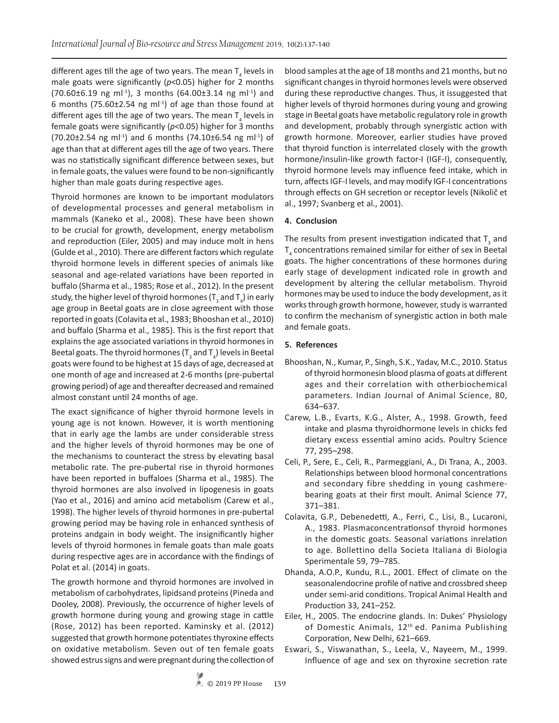different ages till the age of two years. The mean  ${\sf T}_4$  levels in male goats were significantly (*p*<0.05) higher for 2 months  $(70.60\pm6.19 \text{ ng m}^{-1})$ , 3 months  $(64.00\pm3.14 \text{ ng m}^{-1})$  and 6 months (75.60 $\pm$ 2.54 ng ml $^{-1}$ ) of age than those found at different ages till the age of two years. The mean  ${\sf T}_4$  levels in female goats were significantly (*p*<0.05) higher for 3 months  $(70.20 \pm 2.54 \text{ ng ml}^{-1})$  and 6 months  $(74.10 \pm 6.54 \text{ ng ml}^{-1})$  of age than that at different ages till the age of two years. There was no statistically significant difference between sexes, but in female goats, the values were found to be non-significantly higher than male goats during respective ages.

Thyroid hormones are known to be important modulators of developmental processes and general metabolism in mammals (Kaneko et al., 2008). These have been shown to be crucial for growth, development, energy metabolism and reproduction (Eiler, 2005) and may induce molt in hens (Gulde et al., 2010). There are different factors which regulate thyroid hormone levels in different species of animals like seasonal and age-related variations have been reported in buffalo (Sharma et al., 1985; Rose et al., 2012). In the present study, the higher level of thyroid hormones (T<sub>3</sub> and T<sub>4</sub>) in early age group in Beetal goats are in close agreement with those reported in goats (Colavita et al., 1983; Bhooshan et al., 2010) and buffalo (Sharma et al., 1985). This is the first report that explains the age associated variations in thyroid hormones in Beetal goats. The thyroid hormones (T<sub>3</sub> and T<sub>4</sub>) levels in Beetal goats were found to be highest at 15 days of age, decreased at one month of age and increased at 2-6 months (pre-pubertal growing period) of age and thereafter decreased and remained almost constant until 24 months of age.

The exact significance of higher thyroid hormone levels in young age is not known. However, it is worth mentioning that in early age the lambs are under considerable stress and the higher levels of thyroid hormones may be one of the mechanisms to counteract the stress by elevating basal metabolic rate. The pre-pubertal rise in thyroid hormones have been reported in buffaloes (Sharma et al., 1985). The thyroid hormones are also involved in lipogenesis in goats (Yao et al., 2016) and amino acid metabolism (Carew et al., 1998). The higher levels of thyroid hormones in pre-pubertal growing period may be having role in enhanced synthesis of proteins andgain in body weight. The insignificantly higher levels of thyroid hormones in female goats than male goats during respective ages are in accordance with the findings of Polat et al. (2014) in goats.

The growth hormone and thyroid hormones are involved in metabolism of carbohydrates, lipidsand proteins (Pineda and Dooley, 2008). Previously, the occurrence of higher levels of growth hormone during young and growing stage in cattle (Rose, 2012) has been reported. Kaminsky et al. (2012) suggested that growth hormone potentiates thyroxine effects on oxidative metabolism. Seven out of ten female goats showed estrus signs and were pregnant during the collection of

blood samples at the age of 18 months and 21 months, but no significant changes in thyroid hormones levels were observed during these reproductive changes. Thus, it issuggested that higher levels of thyroid hormones during young and growing stage in Beetal goats have metabolic regulatory role in growth and development, probably through synergistic action with growth hormone. Moreover, earlier studies have proved that thyroid function is interrelated closely with the growth hormone/insulin-like growth factor-I (IGF-I), consequently, thyroid hormone levels may influence feed intake, which in turn, affects IGF-I levels, and may modify IGF-I concentrations through effects on GH secretion or receptor levels (Nikolič et al., 1997; Svanberg et al., 2001).

# **4. Conclusion**

The results from present investigation indicated that  $T_{3}$  and  $T_4$  concentrations remained similar for either of sex in Beetal goats. The higher concentrations of these hormones during early stage of development indicated role in growth and development by altering the cellular metabolism. Thyroid hormones may be used to induce the body development, as it works through growth hormone, however, study is warranted to confirm the mechanism of synergistic action in both male and female goats.

# **5. References**

- Bhooshan, N., Kumar, P., Singh, S.K., Yadav, M.C., 2010. Status of thyroid hormonesin blood plasma of goats at different ages and their correlation with otherbiochemical parameters. Indian Journal of Animal Science, 80, 634–637.
- Carew, L.B., Evarts, K.G., Alster, A., 1998. Growth, feed intake and plasma thyroidhormone levels in chicks fed dietary excess essential amino acids. Poultry Science 77, 295–298.
- Celi, P., Sere, E., Celi, R., Parmeggiani, A., Di Trana, A., 2003. Relationships between blood hormonal concentrations and secondary fibre shedding in young cashmerebearing goats at their first moult. Animal Science 77, 371–381.
- Colavita, G.P., Debenedetti, A., Ferri, C., Lisi, B., Lucaroni, A., 1983. Plasmaconcentrationsof thyroid hormones in the domestic goats. Seasonal variations inrelation to age. Bollettino della Societa Italiana di Biologia Sperimentale 59, 79–785.
- Dhanda, A.O.P., Kundu, R.L., 2001. Effect of climate on the seasonalendocrine profile of native and crossbred sheep under semi-arid conditions. Tropical Animal Health and Production 33, 241–252.
- Eiler, H., 2005. The endocrine glands. In: Dukes' Physiology of Domestic Animals, 12<sup>th</sup> ed. Panima Publishing Corporation, New Delhi, 621–669.
- Eswari, S., Viswanathan, S., Leela, V., Nayeem, M., 1999. Influence of age and sex on thyroxine secretion rate